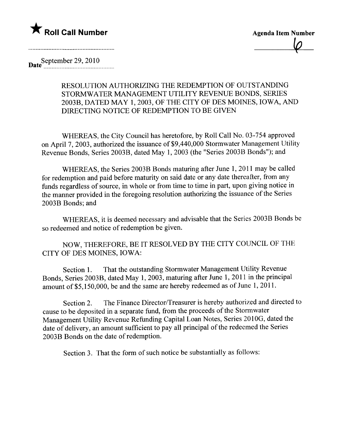

 $\overline{\mathbf{R}}$  Roll Call Number<br>  $\overline{\mathbf{R}}$  Roll Call Number<br>  $\overline{\mathbf{R}}$ <br>  $\overline{\mathbf{R}}$ 

Date September 29, 2010

## RESOLUTION AUTHORIZING THE REDEMPTION OF OUTSTANDING STORMWATER MANAGEMENT UTILITY REVENUE BONDS, SERIES 2003B, DATED MAY 1, 2003, OF THE CITY OF DES MOINES, IOWA, AND DIRECTING NOTICE OF REDEMPTION TO BE GIVEN

WHEREAS, the City Council has heretofore, by Roll Call No. 03-754 approved on April 7,2003, authorized the issuance of \$9,440,000 Stormwater Management Utility Revenue Bonds, Series 2003B, dated May 1,2003 (the "Series 2003B Bonds"); and

WHEREAS, the Series 2003B Bonds maturing after June 1,2011 may be called for redemption and paid before maturity on said date or any date thereafter, from any funds regardless of source, in whole or from time to time in part, upon giving notice in the manner provided in the foregoing resolution authorizing the issuance of the Series 2003B Bonds; and

WHEREAS, it is deemed necessary and advisable that the Series 2003B Bonds be so redeemed and notice of redemption be given.

NOW, THEREFORE, BE IT RESOLVED BY THE CITY COUNCIL OF THE CITY OF DES MOINES, IOWA:

Section 1. That the outstanding Stormwater Management Utilty Revenue Bonds, Series 2003B, dated May 1,2003, maturing after June 1,2011 in the principal amount of \$5,150,000, be and the same are hereby redeemed as of June 1, 2011.

Section 2. The Finance Director/Treasurer is hereby authorized and directed to cause to be deposited in a separate fund, from the proceeds of the Stormwater Management Utilty Revenue Refunding Capital Loan Notes, Series 20IOG, dated the date of delivery, an amount sufficient to pay all principal of the redeemed the Series 2003B Bonds on the date of redemption.

Section 3. That the form of such notice be substantially as follows: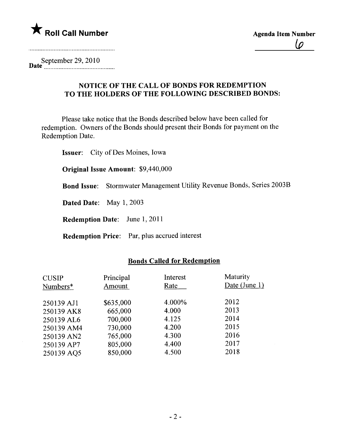

September 29,2010  $\textbf{Date}$   $\frac{1}{2}$   $\frac{1}{2}$   $\frac{1}{2}$   $\frac{1}{2}$   $\frac{1}{2}$   $\frac{1}{2}$   $\frac{1}{2}$   $\frac{1}{2}$   $\frac{1}{2}$   $\frac{1}{2}$   $\frac{1}{2}$   $\frac{1}{2}$   $\frac{1}{2}$   $\frac{1}{2}$   $\frac{1}{2}$   $\frac{1}{2}$   $\frac{1}{2}$   $\frac{1}{2}$   $\frac{1}{2}$   $\frac{1}{2}$   $\frac{1}{2}$   $\$ 

## NOTICE OF THE CALL OF BONDS FOR REDEMPTION TO THE HOLDERS OF THE FOLLOWING DESCRIBED BONDS:

Please take notice that the Bonds described below have been called for redemption. Owners of the Bonds should present their Bonds for payment on the Redemption Date.

Issuer: City of Des Moines, Iowa

Original Issue Amount: \$9,440,000

Bond Issue: Stormwater Management Utilty Revenue Bonds, Series 2003B

Dated Date: May 1, 2003

Redemption Date: June 1, 2011

Redemption Price: Par, plus accrued interest

## Bonds Called for Redemption

| <b>CUSIP</b><br>Numbers* | Principal<br>Amount | Interest<br>Rate | Maturity<br>Date (June 1) |
|--------------------------|---------------------|------------------|---------------------------|
| 250139 AJ1               | \$635,000           | 4.000%           | 2012                      |
| 250139 AK8               | 665,000             | 4.000            | 2013                      |
| 250139 AL6               | 700,000             | 4.125            | 2014                      |
| 250139 AM4               | 730,000             | 4.200            | 2015                      |
| 250139 AN2               | 765,000             | 4.300            | 2016                      |
| 250139 AP7               | 805,000             | 4.400            | 2017                      |
| 250139 AQ5               | 850,000             | 4.500            | 2018                      |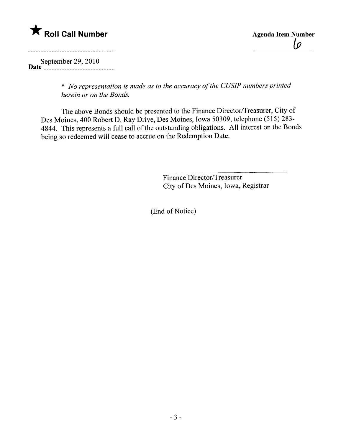

 $\lbrack \rho$ 

September 29,2010 Date --------------------------------------------

> \* No representation is made as to the accuracy of the CUSIP numbers printed herein or on the Bonds.

The above Bonds should be presented to the Finance Director/Treasurer, City of Des Moines, 400 Robert D. Ray Drive, Des Moines, Iowa 50309, telephone (515) 283- 4844. This represents a full call of the outstanding obligations. All interest on the Bonds being so redeemed will cease to accrue on the Redemption Date.

> Finance Director/Treasurer City of Des Moines, Iowa, Registrar

(End of Notice)